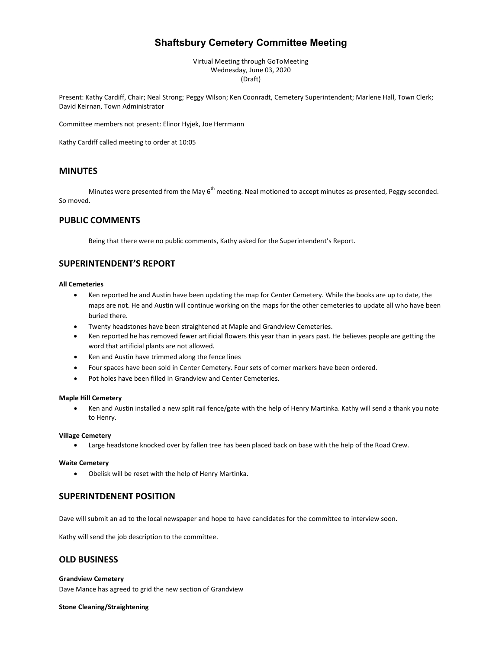# **Shaftsbury Cemetery Committee Meeting**

Virtual Meeting through GoToMeeting Wednesday, June 03, 2020 (Draft)

Present: Kathy Cardiff, Chair; Neal Strong; Peggy Wilson; Ken Coonradt, Cemetery Superintendent; Marlene Hall, Town Clerk; David Keirnan, Town Administrator

Committee members not present: Elinor Hyjek, Joe Herrmann

Kathy Cardiff called meeting to order at 10:05

### **MINUTES**

Minutes were presented from the May 6<sup>th</sup> meeting. Neal motioned to accept minutes as presented, Peggy seconded. So moved.

## **PUBLIC COMMENTS**

Being that there were no public comments, Kathy asked for the Superintendent's Report.

# **SUPERINTENDENT'S REPORT**

### **All Cemeteries**

- Ken reported he and Austin have been updating the map for Center Cemetery. While the books are up to date, the maps are not. He and Austin will continue working on the maps for the other cemeteries to update all who have been buried there.
- Twenty headstones have been straightened at Maple and Grandview Cemeteries.
- Ken reported he has removed fewer artificial flowers this year than in years past. He believes people are getting the word that artificial plants are not allowed.
- Ken and Austin have trimmed along the fence lines
- Four spaces have been sold in Center Cemetery. Four sets of corner markers have been ordered.
- Pot holes have been filled in Grandview and Center Cemeteries.

### **Maple Hill Cemetery**

• Ken and Austin installed a new split rail fence/gate with the help of Henry Martinka. Kathy will send a thank you note to Henry.

### **Village Cemetery**

• Large headstone knocked over by fallen tree has been placed back on base with the help of the Road Crew.

### **Waite Cemetery**

• Obelisk will be reset with the help of Henry Martinka.

### **SUPERINTDENENT POSITION**

Dave will submit an ad to the local newspaper and hope to have candidates for the committee to interview soon.

Kathy will send the job description to the committee.

## **OLD BUSINESS**

### **Grandview Cemetery**

Dave Mance has agreed to grid the new section of Grandview

#### **Stone Cleaning/Straightening**